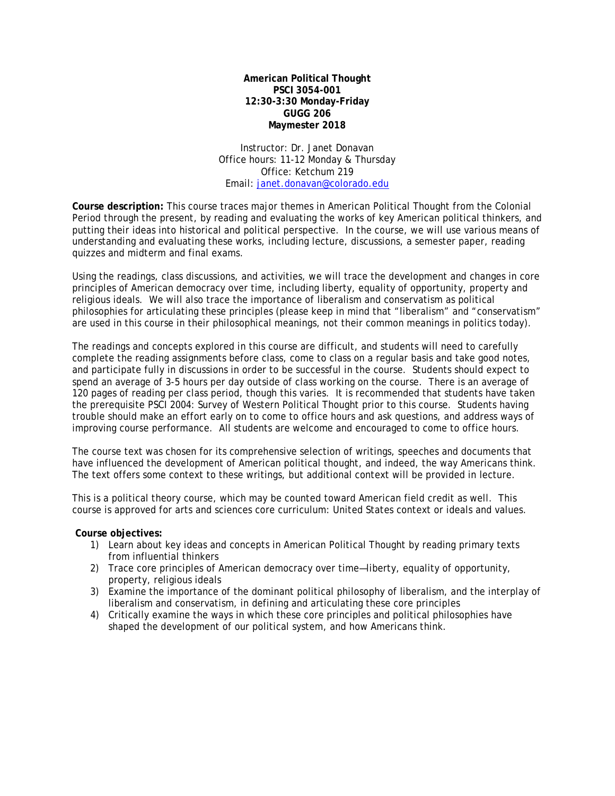**American Political Thought PSCI 3054-001 12:30-3:30 Monday-Friday GUGG 206 Maymester 2018**

Instructor: Dr. Janet Donavan Office hours: 11-12 Monday & Thursday Office: Ketchum 219 Email: [janet.donavan@colorado.edu](mailto:janet.donavan@colorado.edu)

**Course description:** This course traces major themes in American Political Thought from the Colonial Period through the present, by reading and evaluating the works of key American political thinkers, and putting their ideas into historical and political perspective. In the course, we will use various means of understanding and evaluating these works, including lecture, discussions, a semester paper, reading quizzes and midterm and final exams.

Using the readings, class discussions, and activities, we will trace the development and changes in core principles of American democracy over time, including liberty, equality of opportunity, property and religious ideals. We will also trace the importance of liberalism and conservatism as political philosophies for articulating these principles (please keep in mind that "liberalism" and "conservatism" are used in this course in their philosophical meanings, not their common meanings in politics today).

The readings and concepts explored in this course are difficult, and students will need to carefully complete the reading assignments before class, come to class on a regular basis and take good notes, and participate fully in discussions in order to be successful in the course. Students should expect to spend an average of 3-5 hours per day outside of class working on the course. There is an average of 120 pages of reading per class period, though this varies. It is recommended that students have taken the prerequisite PSCI 2004: Survey of Western Political Thought prior to this course. Students having trouble should make an effort early on to come to office hours and ask questions, and address ways of improving course performance. All students are welcome and encouraged to come to office hours.

The course text was chosen for its comprehensive selection of writings, speeches and documents that have influenced the development of American political thought, and indeed, the way Americans think. The text offers some context to these writings, but additional context will be provided in lecture.

This is a political theory course, which may be counted toward American field credit as well. This course is approved for arts and sciences core curriculum: United States context or ideals and values.

## **Course objectives:**

- 1) Learn about key ideas and concepts in American Political Thought by reading primary texts from influential thinkers
- 2) Trace core principles of American democracy over time—liberty, equality of opportunity, property, religious ideals
- 3) Examine the importance of the dominant political philosophy of liberalism, and the interplay of liberalism and conservatism, in defining and articulating these core principles
- 4) Critically examine the ways in which these core principles and political philosophies have shaped the development of our political system, and how Americans think.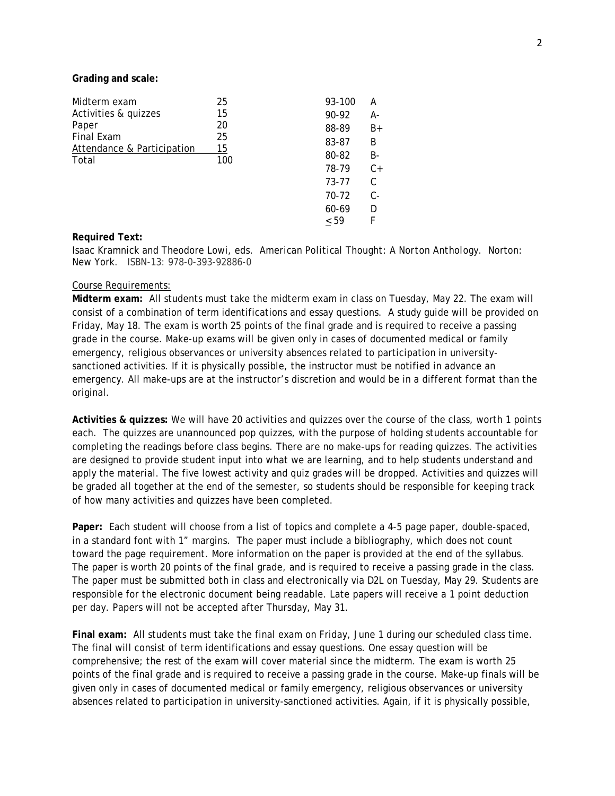**Grading and scale:**

| Midterm exam                                               | 25  | 93-100 | А     |
|------------------------------------------------------------|-----|--------|-------|
| Activities & quizzes                                       | 15  | 90-92  | А-    |
| Paper<br>Final Exam<br>Attendance & Participation<br>Total | 20  | 88-89  | $B+$  |
|                                                            | 25  | 83-87  | B     |
|                                                            | 15  | 80-82  | B-    |
|                                                            | 100 | 78-79  | $C+$  |
|                                                            |     | 73-77  | C     |
|                                                            |     | 70-72  | $C -$ |
|                                                            |     | 60-69  | D     |
|                                                            |     | < 59   | F     |

### **Required Text:**

Isaac Kramnick and Theodore Lowi, eds. *American Political Thought: A Norton Anthology.* Norton: New York. ISBN-13: 978-0-393-92886-0

#### Course Requirements:

**Midterm exam:** All students must take the midterm exam in class on Tuesday, May 22. The exam will consist of a combination of term identifications and essay questions. A study guide will be provided on Friday, May 18. The exam is worth 25 points of the final grade and is required to receive a passing grade in the course. Make-up exams will be given only in cases of documented medical or family emergency, religious observances or university absences related to participation in universitysanctioned activities. If it is physically possible, the instructor must be notified in advance an emergency. All make-ups are at the instructor's discretion and would be in a different format than the original.

**Activities & quizzes:** We will have 20 activities and quizzes over the course of the class, worth 1 points each. The quizzes are unannounced pop quizzes, with the purpose of holding students accountable for completing the readings before class begins. There are no make-ups for reading quizzes. The activities are designed to provide student input into what we are learning, and to help students understand and apply the material. The five lowest activity and quiz grades will be dropped. Activities and quizzes will be graded all together at the end of the semester, so students should be responsible for keeping track of how many activities and quizzes have been completed.

**Paper:** Each student will choose from a list of topics and complete a 4-5 page paper, double-spaced, in a standard font with 1" margins. The paper must include a bibliography, which does not count toward the page requirement. More information on the paper is provided at the end of the syllabus. The paper is worth 20 points of the final grade, and is required to receive a passing grade in the class. The paper must be submitted both in class and electronically via D2L on Tuesday, May 29. Students are responsible for the electronic document being readable. Late papers will receive a 1 point deduction per day. Papers will not be accepted after Thursday, May 31.

**Final exam:** All students must take the final exam on Friday, June 1 during our scheduled class time. The final will consist of term identifications and essay questions. One essay question will be comprehensive; the rest of the exam will cover material since the midterm. The exam is worth 25 points of the final grade and is required to receive a passing grade in the course. Make-up finals will be given only in cases of documented medical or family emergency, religious observances or university absences related to participation in university-sanctioned activities. Again, if it is physically possible,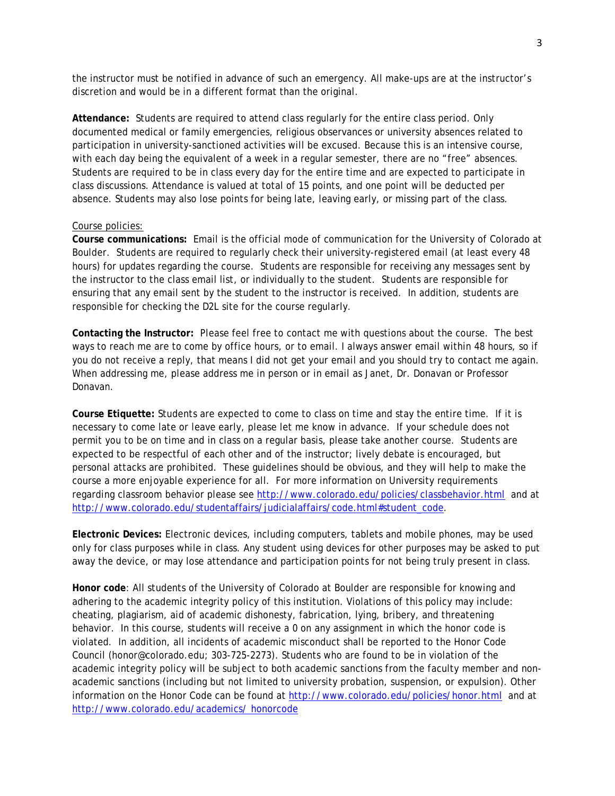the instructor must be notified in advance of such an emergency. All make-ups are at the instructor's discretion and would be in a different format than the original.

**Attendance:** Students are required to attend class regularly for the entire class period. Only documented medical or family emergencies, religious observances or university absences related to participation in university-sanctioned activities will be excused. Because this is an intensive course, with each day being the equivalent of a week in a regular semester, there are no "free" absences. Students are required to be in class every day for the entire time and are expected to participate in class discussions. Attendance is valued at total of 15 points, and one point will be deducted per absence. Students may also lose points for being late, leaving early, or missing part of the class.

#### Course policies:

**Course communications:** Email is the official mode of communication for the University of Colorado at Boulder. Students are required to regularly check their university-registered email (at least every 48 hours) for updates regarding the course. Students are responsible for receiving any messages sent by the instructor to the class email list, or individually to the student. Students are responsible for ensuring that any email sent by the student to the instructor is received. In addition, students are responsible for checking the D2L site for the course regularly.

**Contacting the Instructor:** Please feel free to contact me with questions about the course. The best ways to reach me are to come by office hours, or to email. I always answer email within 48 hours, so if you do not receive a reply, that means I did not get your email and you should try to contact me again. When addressing me, please address me in person or in email as Janet, Dr. Donavan or Professor Donavan.

**Course Etiquette:** Students are expected to come to class on time and stay the entire time. If it is necessary to come late or leave early, please let me know in advance. If your schedule does not permit you to be on time and in class on a regular basis, please take another course. Students are expected to be respectful of each other and of the instructor; lively debate is encouraged, but personal attacks are prohibited. These guidelines should be obvious, and they will help to make the course a more enjoyable experience for all. For more information on University requirements regarding classroom behavior please see<http://www.colorado.edu/policies/classbehavior.html> and at [http://www.colorado.edu/studentaffairs/judicialaffairs/code.html#student\\_code.](http://www.colorado.edu/studentaffairs/judicialaffairs/code.html#student_code)

**Electronic Devices:** Electronic devices, including computers, tablets and mobile phones, may be used only for class purposes while in class. Any student using devices for other purposes may be asked to put away the device, or may lose attendance and participation points for not being truly present in class.

**Honor code**: All students of the University of Colorado at Boulder are responsible for knowing and adhering to the academic integrity policy of this institution. Violations of this policy may include: cheating, plagiarism, aid of academic dishonesty, fabrication, lying, bribery, and threatening behavior. In this course, students will receive a 0 on any assignment in which the honor code is violated. In addition, all incidents of academic misconduct shall be reported to the Honor Code Council (honor@colorado.edu; 303-725-2273). Students who are found to be in violation of the academic integrity policy will be subject to both academic sanctions from the faculty member and nonacademic sanctions (including but not limited to university probation, suspension, or expulsion). Other information on the Honor Code can be found at<http://www.colorado.edu/policies/honor.html> and at [http://www.colorado.edu/academics/ honorcode](http://www.colorado.edu/academics/honorcode)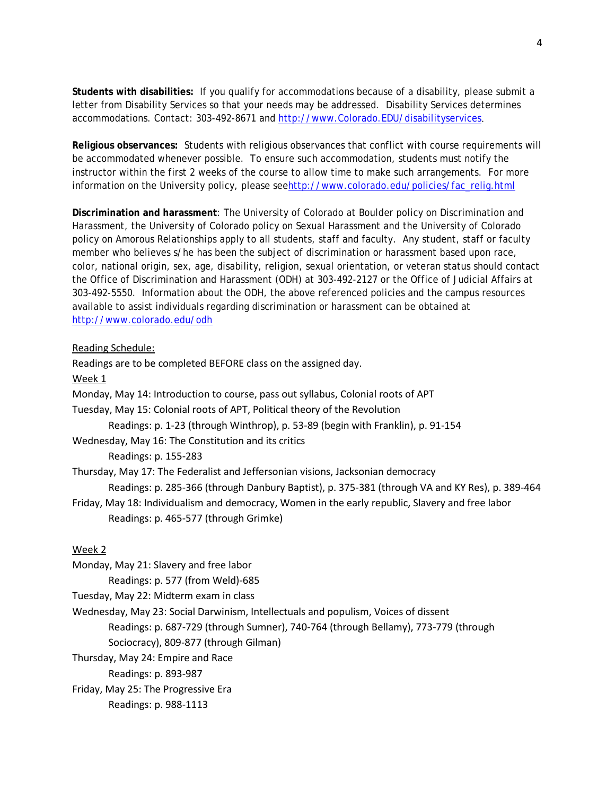**Students with disabilities:** If you qualify for accommodations because of a disability, please submit a letter from Disability Services so that your needs may be addressed. Disability Services determines accommodations. Contact: 303-492-8671 and [http://www.Colorado.EDU/disabilityservices.](http://www.colorado.edu/disabilityservices)

**Religious observances:** Students with religious observances that conflict with course requirements will be accommodated whenever possible. To ensure such accommodation, students must notify the instructor within the first 2 weeks of the course to allow time to make such arrangements. For more information on the University policy, please se[ehttp://www.colorado.edu/policies/fac\\_relig.html](http://www.colorado.edu/policies/fac_relig.html)

**Discrimination and harassment**: The University of Colorado at Boulder policy on Discrimination and Harassment, the University of Colorado policy on Sexual Harassment and the University of Colorado policy on Amorous Relationships apply to all students, staff and faculty. Any student, staff or faculty member who believes s/he has been the subject of discrimination or harassment based upon race, color, national origin, sex, age, disability, religion, sexual orientation, or veteran status should contact the Office of Discrimination and Harassment (ODH) at 303-492-2127 or the Office of Judicial Affairs at 303-492-5550. Information about the ODH, the above referenced policies and the campus resources available to assist individuals regarding discrimination or harassment can be obtained at <http://www.colorado.edu/odh>

# Reading Schedule:

Readings are to be completed BEFORE class on the assigned day. Week 1 Monday, May 14: Introduction to course, pass out syllabus, Colonial roots of APT Tuesday, May 15: Colonial roots of APT, Political theory of the Revolution Readings: p. 1-23 (through Winthrop), p. 53-89 (begin with Franklin), p. 91-154 Wednesday, May 16: The Constitution and its critics Readings: p. 155-283 Thursday, May 17: The Federalist and Jeffersonian visions, Jacksonian democracy Readings: p. 285-366 (through Danbury Baptist), p. 375-381 (through VA and KY Res), p. 389-464 Friday, May 18: Individualism and democracy, Women in the early republic, Slavery and free labor Readings: p. 465-577 (through Grimke) Week 2 Monday, May 21: Slavery and free labor Readings: p. 577 (from Weld)-685 Tuesday, May 22: Midterm exam in class Wednesday, May 23: Social Darwinism, Intellectuals and populism, Voices of dissent

Readings: p. 687-729 (through Sumner), 740-764 (through Bellamy), 773-779 (through Sociocracy), 809-877 (through Gilman)

Thursday, May 24: Empire and Race

Readings: p. 893-987

Friday, May 25: The Progressive Era

Readings: p. 988-1113